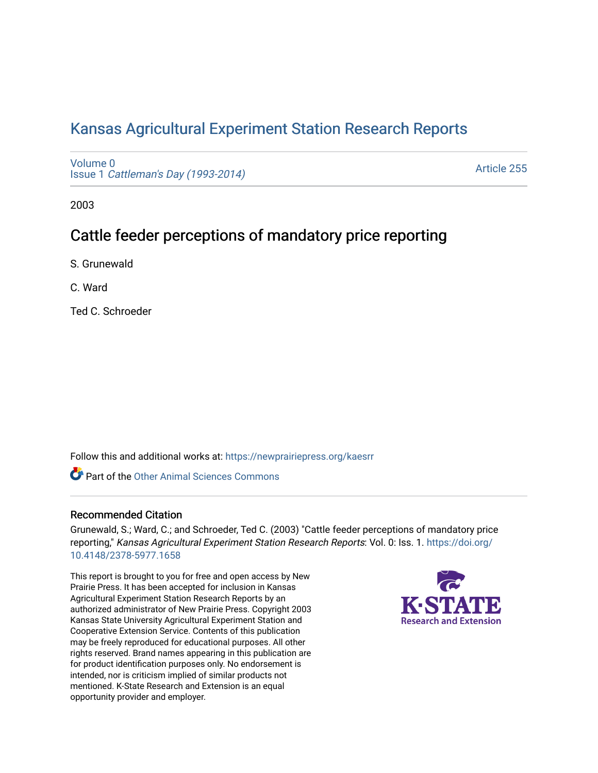# [Kansas Agricultural Experiment Station Research Reports](https://newprairiepress.org/kaesrr)

[Volume 0](https://newprairiepress.org/kaesrr/vol0) Issue 1 [Cattleman's Day \(1993-2014\)](https://newprairiepress.org/kaesrr/vol0/iss1) 

[Article 255](https://newprairiepress.org/kaesrr/vol0/iss1/255) 

2003

# Cattle feeder perceptions of mandatory price reporting

S. Grunewald

C. Ward

Ted C. Schroeder

Follow this and additional works at: [https://newprairiepress.org/kaesrr](https://newprairiepress.org/kaesrr?utm_source=newprairiepress.org%2Fkaesrr%2Fvol0%2Fiss1%2F255&utm_medium=PDF&utm_campaign=PDFCoverPages) 

**C** Part of the [Other Animal Sciences Commons](http://network.bepress.com/hgg/discipline/82?utm_source=newprairiepress.org%2Fkaesrr%2Fvol0%2Fiss1%2F255&utm_medium=PDF&utm_campaign=PDFCoverPages)

## Recommended Citation

Grunewald, S.; Ward, C.; and Schroeder, Ted C. (2003) "Cattle feeder perceptions of mandatory price reporting," Kansas Agricultural Experiment Station Research Reports: Vol. 0: Iss. 1. [https://doi.org/](https://doi.org/10.4148/2378-5977.1658) [10.4148/2378-5977.1658](https://doi.org/10.4148/2378-5977.1658)

This report is brought to you for free and open access by New Prairie Press. It has been accepted for inclusion in Kansas Agricultural Experiment Station Research Reports by an authorized administrator of New Prairie Press. Copyright 2003 Kansas State University Agricultural Experiment Station and Cooperative Extension Service. Contents of this publication may be freely reproduced for educational purposes. All other rights reserved. Brand names appearing in this publication are for product identification purposes only. No endorsement is intended, nor is criticism implied of similar products not mentioned. K-State Research and Extension is an equal opportunity provider and employer.

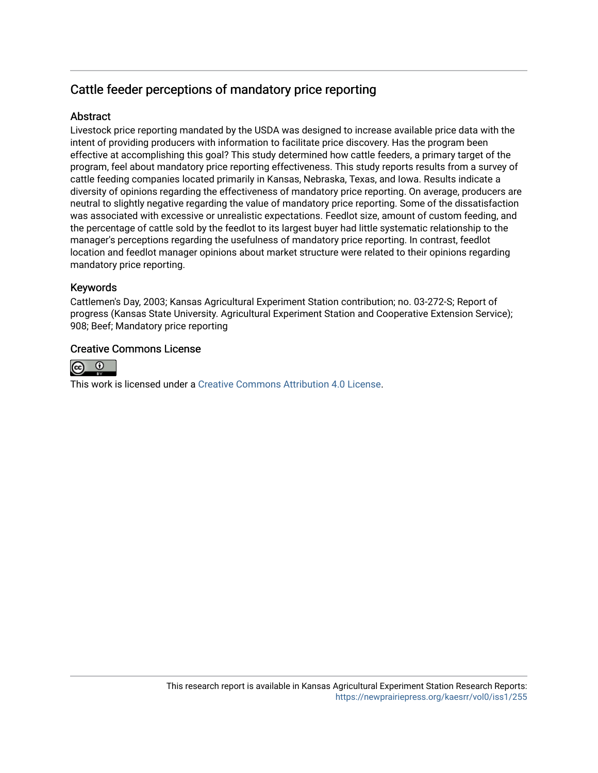# Cattle feeder perceptions of mandatory price reporting

## **Abstract**

Livestock price reporting mandated by the USDA was designed to increase available price data with the intent of providing producers with information to facilitate price discovery. Has the program been effective at accomplishing this goal? This study determined how cattle feeders, a primary target of the program, feel about mandatory price reporting effectiveness. This study reports results from a survey of cattle feeding companies located primarily in Kansas, Nebraska, Texas, and Iowa. Results indicate a diversity of opinions regarding the effectiveness of mandatory price reporting. On average, producers are neutral to slightly negative regarding the value of mandatory price reporting. Some of the dissatisfaction was associated with excessive or unrealistic expectations. Feedlot size, amount of custom feeding, and the percentage of cattle sold by the feedlot to its largest buyer had little systematic relationship to the manager's perceptions regarding the usefulness of mandatory price reporting. In contrast, feedlot location and feedlot manager opinions about market structure were related to their opinions regarding mandatory price reporting.

## Keywords

Cattlemen's Day, 2003; Kansas Agricultural Experiment Station contribution; no. 03-272-S; Report of progress (Kansas State University. Agricultural Experiment Station and Cooperative Extension Service); 908; Beef; Mandatory price reporting

## Creative Commons License



This work is licensed under a [Creative Commons Attribution 4.0 License](https://creativecommons.org/licenses/by/4.0/).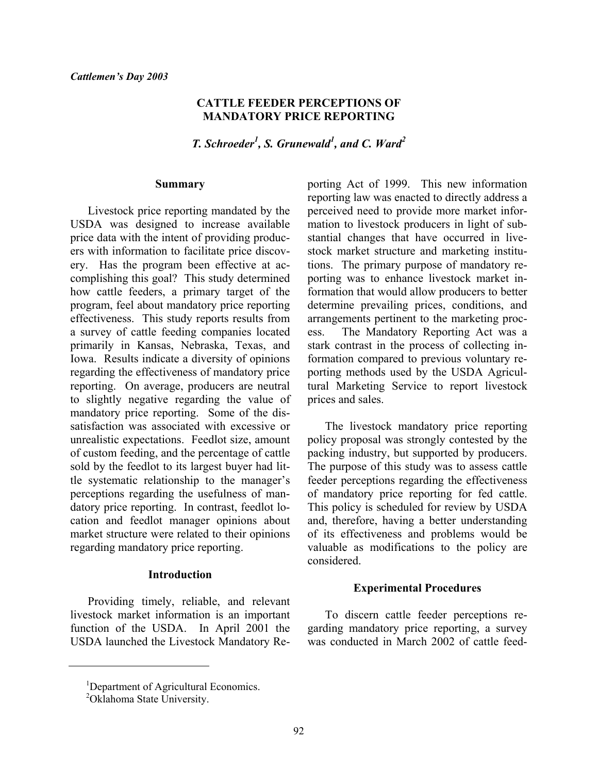#### **CATTLE FEEDER PERCEPTIONS OF MANDATORY PRICE REPORTING**

*T. Schroeder<sup>1</sup>*, *S. Grunewald<sup>1</sup>*, and *C. Ward<sup>2</sup>* 

#### **Summary**

Livestock price reporting mandated by the USDA was designed to increase available price data with the intent of providing producers with information to facilitate price discovery. Has the program been effective at accomplishing this goal? This study determined how cattle feeders, a primary target of the program, feel about mandatory price reporting effectiveness. This study reports results from a survey of cattle feeding companies located primarily in Kansas, Nebraska, Texas, and Iowa. Results indicate a diversity of opinions regarding the effectiveness of mandatory price reporting. On average, producers are neutral to slightly negative regarding the value of mandatory price reporting. Some of the dissatisfaction was associated with excessive or unrealistic expectations. Feedlot size, amount of custom feeding, and the percentage of cattle sold by the feedlot to its largest buyer had little systematic relationship to the manager's perceptions regarding the usefulness of mandatory price reporting. In contrast, feedlot location and feedlot manager opinions about market structure were related to their opinions regarding mandatory price reporting.

#### **Introduction**

Providing timely, reliable, and relevant livestock market information is an important function of the USDA. In April 2001 the USDA launched the Livestock Mandatory Reporting Act of 1999. This new information reporting law was enacted to directly address a perceived need to provide more market information to livestock producers in light of substantial changes that have occurred in livestock market structure and marketing institutions. The primary purpose of mandatory reporting was to enhance livestock market information that would allow producers to better determine prevailing prices, conditions, and arrangements pertinent to the marketing process. The Mandatory Reporting Act was a stark contrast in the process of collecting information compared to previous voluntary reporting methods used by the USDA Agricultural Marketing Service to report livestock prices and sales.

The livestock mandatory price reporting policy proposal was strongly contested by the packing industry, but supported by producers. The purpose of this study was to assess cattle feeder perceptions regarding the effectiveness of mandatory price reporting for fed cattle. This policy is scheduled for review by USDA and, therefore, having a better understanding of its effectiveness and problems would be valuable as modifications to the policy are considered.

#### **Experimental Procedures**

 To discern cattle feeder perceptions regarding mandatory price reporting, a survey was conducted in March 2002 of cattle feed-

 $\overline{a}$ 

<sup>&</sup>lt;sup>1</sup>Department of Agricultural Economics.

<sup>2</sup> Oklahoma State University.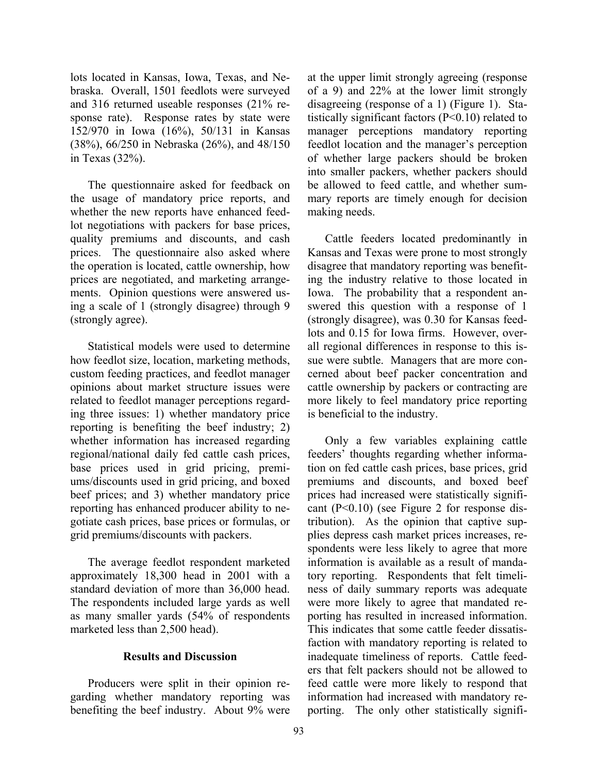lots located in Kansas, Iowa, Texas, and Nebraska. Overall, 1501 feedlots were surveyed and 316 returned useable responses (21% response rate). Response rates by state were 152/970 in Iowa (16%), 50/131 in Kansas (38%), 66/250 in Nebraska (26%), and 48/150 in Texas (32%).

 The questionnaire asked for feedback on the usage of mandatory price reports, and whether the new reports have enhanced feedlot negotiations with packers for base prices, quality premiums and discounts, and cash prices. The questionnaire also asked where the operation is located, cattle ownership, how prices are negotiated, and marketing arrangements. Opinion questions were answered using a scale of 1 (strongly disagree) through 9 (strongly agree).

 Statistical models were used to determine how feedlot size, location, marketing methods, custom feeding practices, and feedlot manager opinions about market structure issues were related to feedlot manager perceptions regarding three issues: 1) whether mandatory price reporting is benefiting the beef industry; 2) whether information has increased regarding regional/national daily fed cattle cash prices, base prices used in grid pricing, premiums/discounts used in grid pricing, and boxed beef prices; and 3) whether mandatory price reporting has enhanced producer ability to negotiate cash prices, base prices or formulas, or grid premiums/discounts with packers.

 The average feedlot respondent marketed approximately 18,300 head in 2001 with a standard deviation of more than 36,000 head. The respondents included large yards as well as many smaller yards (54% of respondents marketed less than 2,500 head).

## **Results and Discussion**

Producers were split in their opinion regarding whether mandatory reporting was benefiting the beef industry. About 9% were at the upper limit strongly agreeing (response of a 9) and 22% at the lower limit strongly disagreeing (response of a 1) (Figure 1). Statistically significant factors (P<0.10) related to manager perceptions mandatory reporting feedlot location and the manager's perception of whether large packers should be broken into smaller packers, whether packers should be allowed to feed cattle, and whether summary reports are timely enough for decision making needs.

 Cattle feeders located predominantly in Kansas and Texas were prone to most strongly disagree that mandatory reporting was benefiting the industry relative to those located in Iowa. The probability that a respondent answered this question with a response of 1 (strongly disagree), was 0.30 for Kansas feedlots and 0.15 for Iowa firms. However, overall regional differences in response to this issue were subtle. Managers that are more concerned about beef packer concentration and cattle ownership by packers or contracting are more likely to feel mandatory price reporting is beneficial to the industry.

 Only a few variables explaining cattle feeders' thoughts regarding whether information on fed cattle cash prices, base prices, grid premiums and discounts, and boxed beef prices had increased were statistically significant (P<0.10) (see Figure 2 for response distribution). As the opinion that captive supplies depress cash market prices increases, respondents were less likely to agree that more information is available as a result of mandatory reporting. Respondents that felt timeliness of daily summary reports was adequate were more likely to agree that mandated reporting has resulted in increased information. This indicates that some cattle feeder dissatisfaction with mandatory reporting is related to inadequate timeliness of reports. Cattle feeders that felt packers should not be allowed to feed cattle were more likely to respond that information had increased with mandatory reporting. The only other statistically signifi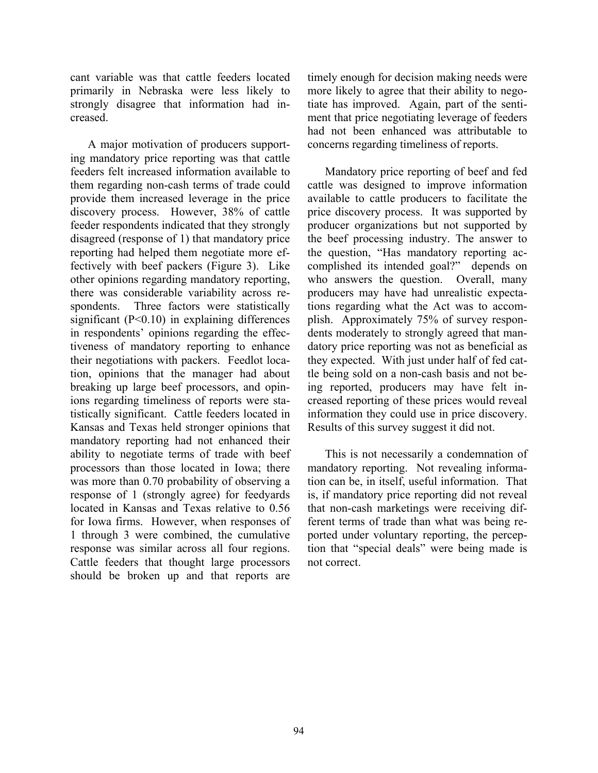cant variable was that cattle feeders located primarily in Nebraska were less likely to strongly disagree that information had increased.

 A major motivation of producers supporting mandatory price reporting was that cattle feeders felt increased information available to them regarding non-cash terms of trade could provide them increased leverage in the price discovery process. However, 38% of cattle feeder respondents indicated that they strongly disagreed (response of 1) that mandatory price reporting had helped them negotiate more effectively with beef packers (Figure 3). Like other opinions regarding mandatory reporting, there was considerable variability across respondents. Three factors were statistically significant (P<0.10) in explaining differences in respondents' opinions regarding the effectiveness of mandatory reporting to enhance their negotiations with packers. Feedlot location, opinions that the manager had about breaking up large beef processors, and opinions regarding timeliness of reports were statistically significant. Cattle feeders located in Kansas and Texas held stronger opinions that mandatory reporting had not enhanced their ability to negotiate terms of trade with beef processors than those located in Iowa; there was more than 0.70 probability of observing a response of 1 (strongly agree) for feedyards located in Kansas and Texas relative to 0.56 for Iowa firms. However, when responses of 1 through 3 were combined, the cumulative response was similar across all four regions. Cattle feeders that thought large processors should be broken up and that reports are

timely enough for decision making needs were more likely to agree that their ability to negotiate has improved. Again, part of the sentiment that price negotiating leverage of feeders had not been enhanced was attributable to concerns regarding timeliness of reports.

 Mandatory price reporting of beef and fed cattle was designed to improve information available to cattle producers to facilitate the price discovery process. It was supported by producer organizations but not supported by the beef processing industry. The answer to the question, "Has mandatory reporting accomplished its intended goal?" depends on who answers the question. Overall, many producers may have had unrealistic expectations regarding what the Act was to accomplish. Approximately 75% of survey respondents moderately to strongly agreed that mandatory price reporting was not as beneficial as they expected. With just under half of fed cattle being sold on a non-cash basis and not being reported, producers may have felt increased reporting of these prices would reveal information they could use in price discovery. Results of this survey suggest it did not.

 This is not necessarily a condemnation of mandatory reporting. Not revealing information can be, in itself, useful information. That is, if mandatory price reporting did not reveal that non-cash marketings were receiving different terms of trade than what was being reported under voluntary reporting, the perception that "special deals" were being made is not correct.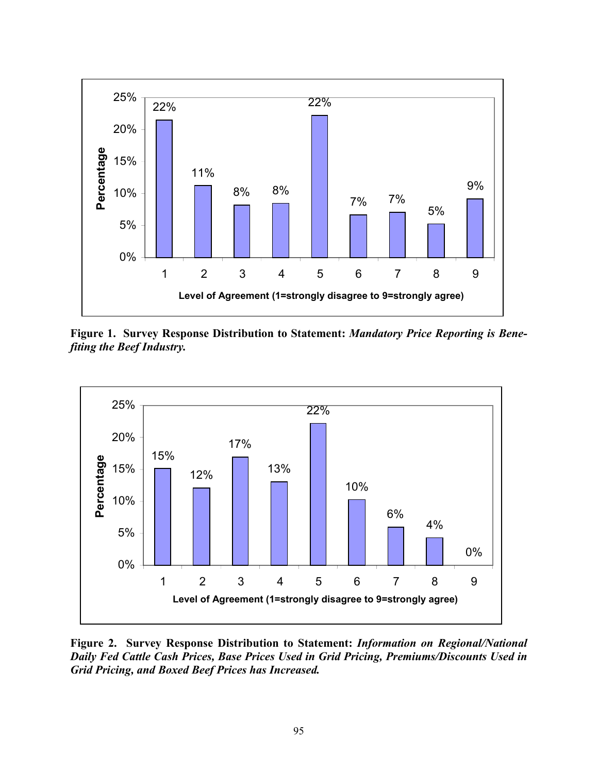

**Figure 1. Survey Response Distribution to Statement:** *Mandatory Price Reporting is Benefiting the Beef Industry.*



**Figure 2. Survey Response Distribution to Statement:** *Information on Regional/National Daily Fed Cattle Cash Prices, Base Prices Used in Grid Pricing, Premiums/Discounts Used in Grid Pricing, and Boxed Beef Prices has Increased.*